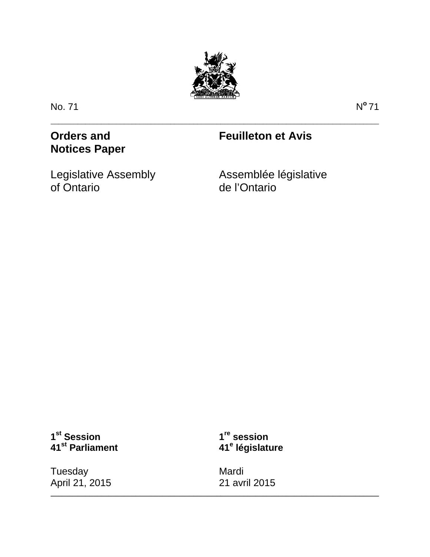

\_\_\_\_\_\_\_\_\_\_\_\_\_\_\_\_\_\_\_\_\_\_\_\_\_\_\_\_\_\_\_\_\_\_\_\_\_\_\_\_\_\_\_\_\_\_\_\_\_\_\_\_\_\_\_\_\_\_\_\_\_\_\_\_\_\_\_\_\_\_\_\_\_\_\_\_\_\_\_\_\_\_\_\_\_

No. 71 N**<sup>o</sup>**71

**Orders and Notices Paper**

# **Feuilleton et Avis**

Legislative Assembly of Ontario

Assemblée législative de l'Ontario

# **1st Session 41st Parliament**

**Tuesday** April 21, 2015

**1re session 41<sup>e</sup> législature**

Mardi 21 avril 2015

**\_\_\_\_\_\_\_\_\_\_\_\_\_\_\_\_\_\_\_\_\_\_\_\_\_\_\_\_\_\_\_\_\_\_\_\_\_\_\_\_\_\_\_\_\_\_\_\_\_\_\_\_\_\_\_\_\_\_\_\_\_\_\_\_\_\_\_\_\_\_\_\_\_\_\_\_\_\_\_\_\_\_\_\_\_**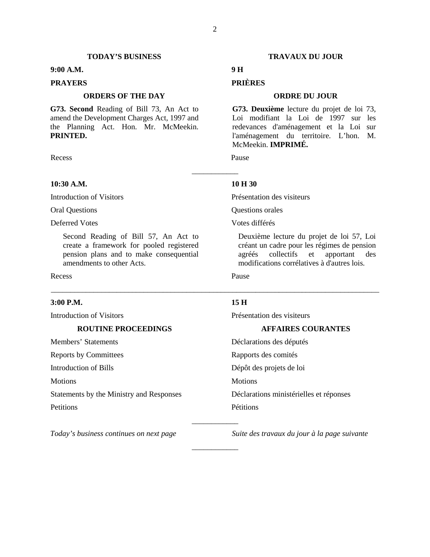## **TODAY'S BUSINESS TRAVAUX DU JOUR**

# **9:00 A.M. 9 H**

# **ORDERS OF THE DAY ORDRE DU JOUR**

**G73. Second** Reading of Bill 73, An Act to amend the Development Charges Act, 1997 and the Planning Act. Hon. Mr. McMeekin. **PRINTED.**

Recess Pause

# **10:30 A.M. 10 H 30**

Oral Questions Questions orales

Second Reading of Bill 57, An Act to create a framework for pooled registered pension plans and to make consequential amendments to other Acts.

Recess Pause Pause

# **3:00 P.M. 15 H**

Members' Statements Déclarations des députés

Statements by the Ministry and Responses Déclarations ministérielles et réponses Petitions Pétitions

Introduction of Visitors Présentation des visiteurs

# **ROUTINE PROCEEDINGS AFFAIRES COURANTES**

Reports by Committees Rapports des comités Introduction of Bills Dépôt des projets de loi Motions Motions Motions Motions \_\_\_\_\_\_\_\_\_\_\_\_

*Today's business continues on next page Suite des travaux du jour à la page suivante*

# **PRAYERS PRIÈRES**

**G73. Deuxième** lecture du projet de loi 73, Loi modifiant la Loi de 1997 sur les redevances d'aménagement et la Loi sur l'aménagement du territoire. L'hon. M. McMeekin. **IMPRIMÉ.**

\_\_\_\_\_\_\_\_\_\_\_\_

\_\_\_\_\_\_\_\_\_\_\_\_\_\_\_\_\_\_\_\_\_\_\_\_\_\_\_\_\_\_\_\_\_\_\_\_\_\_\_\_\_\_\_\_\_\_\_\_\_\_\_\_\_\_\_\_\_\_\_\_\_\_\_\_\_\_\_\_\_\_\_\_\_\_\_\_\_\_\_\_\_\_\_\_\_

\_\_\_\_\_\_\_\_\_\_\_\_

Introduction of Visitors Présentation des visiteurs

Deferred Votes Votes différés

Deuxième lecture du projet de loi 57, Loi créant un cadre pour les régimes de pension agréés collectifs et apportant des modifications corrélatives à d'autres lois.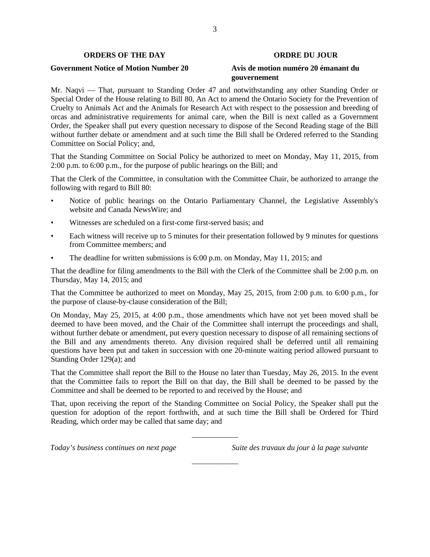# **ORDERS OF THE DAY ORDRE DU JOUR**

# **Government Notice of Motion Number 20 Avis de motion numéro 20 émanant du**

# **gouvernement**

Mr. Naqvi — That, pursuant to Standing Order 47 and notwithstanding any other Standing Order or Special Order of the House relating to Bill 80, An Act to amend the Ontario Society for the Prevention of Cruelty to Animals Act and the Animals for Research Act with respect to the possession and breeding of orcas and administrative requirements for animal care, when the Bill is next called as a Government Order, the Speaker shall put every question necessary to dispose of the Second Reading stage of the Bill without further debate or amendment and at such time the Bill shall be Ordered referred to the Standing Committee on Social Policy; and,

That the Standing Committee on Social Policy be authorized to meet on Monday, May 11, 2015, from 2:00 p.m. to 6:00 p.m., for the purpose of public hearings on the Bill; and

That the Clerk of the Committee, in consultation with the Committee Chair, be authorized to arrange the following with regard to Bill 80:

- Notice of public hearings on the Ontario Parliamentary Channel, the Legislative Assembly's website and Canada NewsWire; and
- Witnesses are scheduled on a first-come first-served basis; and
- Each witness will receive up to 5 minutes for their presentation followed by 9 minutes for questions from Committee members; and
- The deadline for written submissions is 6:00 p.m. on Monday, May 11, 2015; and

That the deadline for filing amendments to the Bill with the Clerk of the Committee shall be 2:00 p.m. on Thursday, May 14, 2015; and

That the Committee be authorized to meet on Monday, May 25, 2015, from 2:00 p.m. to 6:00 p.m., for the purpose of clause-by-clause consideration of the Bill;

On Monday, May 25, 2015, at 4:00 p.m., those amendments which have not yet been moved shall be deemed to have been moved, and the Chair of the Committee shall interrupt the proceedings and shall, without further debate or amendment, put every question necessary to dispose of all remaining sections of the Bill and any amendments thereto. Any division required shall be deferred until all remaining questions have been put and taken in succession with one 20-minute waiting period allowed pursuant to Standing Order 129(a); and

That the Committee shall report the Bill to the House no later than Tuesday, May 26, 2015. In the event that the Committee fails to report the Bill on that day, the Bill shall be deemed to be passed by the Committee and shall be deemed to be reported to and received by the House; and

That, upon receiving the report of the Standing Committee on Social Policy, the Speaker shall put the question for adoption of the report forthwith, and at such time the Bill shall be Ordered for Third Reading, which order may be called that same day; and

\_\_\_\_\_\_\_\_\_\_\_\_

\_\_\_\_\_\_\_\_\_\_\_\_

*Today's business continues on next page Suite des travaux du jour à la page suivante*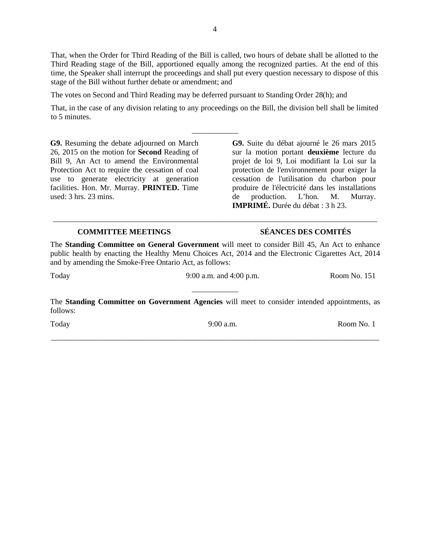That, when the Order for Third Reading of the Bill is called, two hours of debate shall be allotted to the Third Reading stage of the Bill, apportioned equally among the recognized parties. At the end of this time, the Speaker shall interrupt the proceedings and shall put every question necessary to dispose of this stage of the Bill without further debate or amendment; and

The votes on Second and Third Reading may be deferred pursuant to Standing Order 28(h); and

That, in the case of any division relating to any proceedings on the Bill, the division bell shall be limited to 5 minutes.

\_\_\_\_\_\_\_\_\_\_\_\_

**G9.** Resuming the debate adjourned on March 26, 2015 on the motion for **Second** Reading of Bill 9, An Act to amend the Environmental Protection Act to require the cessation of coal use to generate electricity at generation facilities. Hon. Mr. Murray. **PRINTED.** Time used: 3 hrs. 23 mins.

**G9.** Suite du débat ajourné le 26 mars 2015 sur la motion portant **deuxième** lecture du projet de loi 9, Loi modifiant la Loi sur la protection de l'environnement pour exiger la cessation de l'utilisation du charbon pour produire de l'électricité dans les installations de production. L'hon. M. Murray. **IMPRIMÉ.** Durée du débat : 3 h 23.

# **COMMITTEE MEETINGS SÉANCES DES COMITÉS**

The **Standing Committee on General Government** will meet to consider Bill 45, An Act to enhance public health by enacting the Healthy Menu Choices Act, 2014 and the Electronic Cigarettes Act, 2014 and by amending the Smoke-Free Ontario Act, as follows:

\_\_\_\_\_\_\_\_\_\_\_\_\_\_\_\_\_\_\_\_\_\_\_\_\_\_\_\_\_\_\_\_\_\_\_\_\_\_\_\_\_\_\_\_\_\_\_\_\_\_\_\_\_\_\_\_\_\_\_\_\_\_\_\_\_\_\_\_\_\_\_\_\_\_\_\_\_\_\_\_\_\_\_\_

| Today    | 9:00 a.m. and $4:00$ p.m.                                                                            | Room No. 151 |
|----------|------------------------------------------------------------------------------------------------------|--------------|
| follows: | The <b>Standing Committee on Government Agencies</b> will meet to consider intended appointments, as |              |

\_\_\_\_\_\_\_\_\_\_\_\_\_\_\_\_\_\_\_\_\_\_\_\_\_\_\_\_\_\_\_\_\_\_\_\_\_\_\_\_\_\_\_\_\_\_\_\_\_\_\_\_\_\_\_\_\_\_\_\_\_\_\_\_\_\_\_\_\_\_\_\_\_\_\_\_\_\_\_\_\_\_\_\_\_

|--|

Today 9:00 a.m. Room No. 1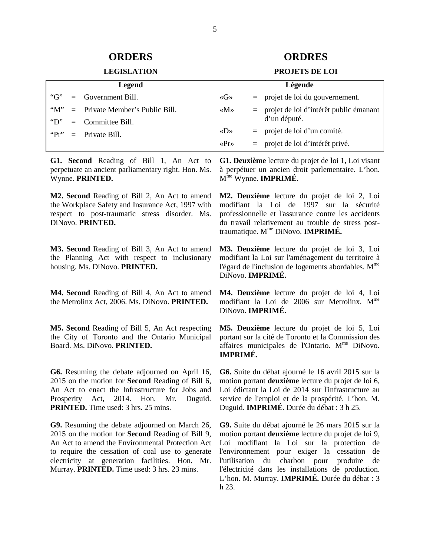# **ORDERS ORDRES**

# **LEGISLATION PROJETS DE LOI**

| <b>Legend</b>         |  | Légende                           |                                     |  |                                            |
|-----------------------|--|-----------------------------------|-------------------------------------|--|--------------------------------------------|
| " $G$ "               |  | $=$ Government Bill.              | $\langle G \rangle$                 |  | $=$ projet de loi du gouvernement.         |
| $\lq\lq M''$          |  | $=$ Private Member's Public Bill. | $\langle M \rangle$                 |  | $=$ projet de loi d'intérêt public émanant |
| $\lq\lq$ <sup>"</sup> |  | $=$ Committee Bill.               |                                     |  | d'un député.                               |
|                       |  | " $Pr" = Private Bill.$           | $\langle \langle D \rangle \rangle$ |  | $=$ projet de loi d'un comité.             |
|                       |  |                                   | $\langle \text{Pr} \rangle$         |  | $=$ projet de loi d'intérêt privé.         |

**G1. Second** Reading of Bill 1, An Act to perpetuate an ancient parliamentary right. Hon. Ms. Wynne. **PRINTED.** 

**M2. Second** Reading of Bill 2, An Act to amend the Workplace Safety and Insurance Act, 1997 with respect to post-traumatic stress disorder. Ms. DiNovo. **PRINTED.**

**M3. Second** Reading of Bill 3, An Act to amend the Planning Act with respect to inclusionary housing. Ms. DiNovo. **PRINTED.**

**M4. Second** Reading of Bill 4, An Act to amend the Metrolinx Act, 2006. Ms. DiNovo. **PRINTED.**

**M5. Second** Reading of Bill 5, An Act respecting the City of Toronto and the Ontario Municipal Board. Ms. DiNovo. **PRINTED.**

**G6.** Resuming the debate adjourned on April 16, 2015 on the motion for **Second** Reading of Bill 6, An Act to enact the Infrastructure for Jobs and Prosperity Act, 2014. Hon. Mr. Duguid. **PRINTED.** Time used: 3 hrs. 25 mins.

**G9.** Resuming the debate adjourned on March 26, 2015 on the motion for **Second** Reading of Bill 9, An Act to amend the Environmental Protection Act to require the cessation of coal use to generate electricity at generation facilities. Hon. Mr. Murray. **PRINTED.** Time used: 3 hrs. 23 mins.

**G1. Deuxième** lecture du projet de loi 1, Loi visant à perpétuer un ancien droit parlementaire. L'hon. Mme Wynne. **IMPRIMÉ.** 

**M2. Deuxième** lecture du projet de loi 2, Loi modifiant la Loi de 1997 sur la sécurité professionnelle et l'assurance contre les accidents du travail relativement au trouble de stress posttraumatique. Mme DiNovo. **IMPRIMÉ.**

**M3. Deuxième** lecture du projet de loi 3, Loi modifiant la Loi sur l'aménagement du territoire à l'égard de l'inclusion de logements abordables.  $M<sup>me</sup>$ DiNovo. **IMPRIMÉ.**

**M4. Deuxième** lecture du projet de loi 4, Loi modifiant la Loi de 2006 sur Metrolinx. M<sup>me</sup> DiNovo. **IMPRIMÉ.**

**M5. Deuxième** lecture du projet de loi 5, Loi portant sur la cité de Toronto et la Commission des affaires municipales de l'Ontario.  $M<sup>me</sup>$  DiNovo. **IMPRIMÉ.**

**G6.** Suite du débat ajourné le 16 avril 2015 sur la motion portant **deuxième** lecture du projet de loi 6, Loi édictant la Loi de 2014 sur l'infrastructure au service de l'emploi et de la prospérité. L'hon. M. Duguid. **IMPRIMÉ.** Durée du débat : 3 h 25.

**G9.** Suite du débat ajourné le 26 mars 2015 sur la motion portant **deuxième** lecture du projet de loi 9, Loi modifiant la Loi sur la protection de l'environnement pour exiger la cessation de l'utilisation du charbon pour produire de l'électricité dans les installations de production. L'hon. M. Murray. **IMPRIMÉ.** Durée du débat : 3 h 23.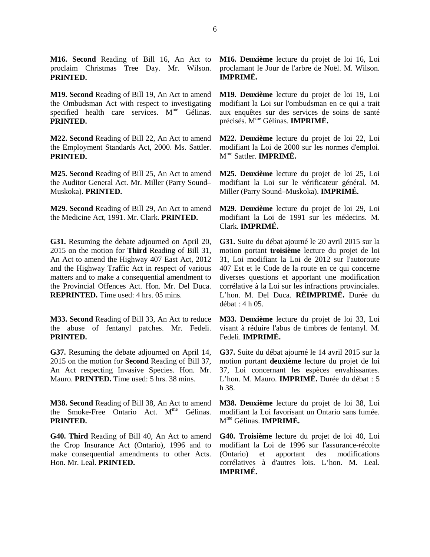**M16. Second** Reading of Bill 16, An Act to proclaim Christmas Tree Day. Mr. Wilson. **PRINTED.**

**M19. Second** Reading of Bill 19, An Act to amend the Ombudsman Act with respect to investigating specified health care services.  $M<sup>me</sup>$  Gélinas. **PRINTED.**

**M22. Second** Reading of Bill 22, An Act to amend the Employment Standards Act, 2000. Ms. Sattler. **PRINTED.**

**M25. Second** Reading of Bill 25, An Act to amend the Auditor General Act. Mr. Miller (Parry Sound– Muskoka). **PRINTED.**

**M29. Second** Reading of Bill 29, An Act to amend the Medicine Act, 1991. Mr. Clark. **PRINTED.**

**G31.** Resuming the debate adjourned on April 20, 2015 on the motion for **Third** Reading of Bill 31, An Act to amend the Highway 407 East Act, 2012 and the Highway Traffic Act in respect of various matters and to make a consequential amendment to the Provincial Offences Act. Hon. Mr. Del Duca. **REPRINTED.** Time used: 4 hrs. 05 mins.

**M33. Second** Reading of Bill 33, An Act to reduce the abuse of fentanyl patches. Mr. Fedeli. **PRINTED.**

**G37.** Resuming the debate adjourned on April 14, 2015 on the motion for **Second** Reading of Bill 37, An Act respecting Invasive Species. Hon. Mr. Mauro. **PRINTED.** Time used: 5 hrs. 38 mins.

**M38. Second** Reading of Bill 38, An Act to amend the Smoke-Free Ontario Act.  $M^{me}$  Gélinas. **PRINTED.**

**G40. Third** Reading of Bill 40, An Act to amend the Crop Insurance Act (Ontario), 1996 and to make consequential amendments to other Acts. Hon. Mr. Leal. **PRINTED.**

**M16. Deuxième** lecture du projet de loi 16, Loi proclamant le Jour de l'arbre de Noël. M. Wilson. **IMPRIMÉ.**

**M19. Deuxième** lecture du projet de loi 19, Loi modifiant la Loi sur l'ombudsman en ce qui a trait aux enquêtes sur des services de soins de santé précisés. Mme Gélinas. **IMPRIMÉ.**

**M22. Deuxième** lecture du projet de loi 22, Loi modifiant la Loi de 2000 sur les normes d'emploi. Mme Sattler. **IMPRIMÉ.**

**M25. Deuxième** lecture du projet de loi 25, Loi modifiant la Loi sur le vérificateur général. M. Miller (Parry Sound–Muskoka). **IMPRIMÉ.**

**M29. Deuxième** lecture du projet de loi 29, Loi modifiant la Loi de 1991 sur les médecins. M. Clark. **IMPRIMÉ.**

**G31.** Suite du débat ajourné le 20 avril 2015 sur la motion portant **troisième** lecture du projet de loi 31, Loi modifiant la Loi de 2012 sur l'autoroute 407 Est et le Code de la route en ce qui concerne diverses questions et apportant une modification corrélative à la Loi sur les infractions provinciales. L'hon. M. Del Duca. **RÉIMPRIMÉ.** Durée du débat : 4 h 05.

**M33. Deuxième** lecture du projet de loi 33, Loi visant à réduire l'abus de timbres de fentanyl. M. Fedeli. **IMPRIMÉ.**

**G37.** Suite du débat ajourné le 14 avril 2015 sur la motion portant **deuxième** lecture du projet de loi 37, Loi concernant les espèces envahissantes. L'hon. M. Mauro. **IMPRIMÉ.** Durée du débat : 5 h 38.

**M38. Deuxième** lecture du projet de loi 38, Loi modifiant la Loi favorisant un Ontario sans fumée. Mme Gélinas. **IMPRIMÉ.**

**G40. Troisième** lecture du projet de loi 40, Loi modifiant la Loi de 1996 sur l'assurance-récolte (Ontario) et apportant des modifications corrélatives à d'autres lois. L'hon. M. Leal. **IMPRIMÉ.**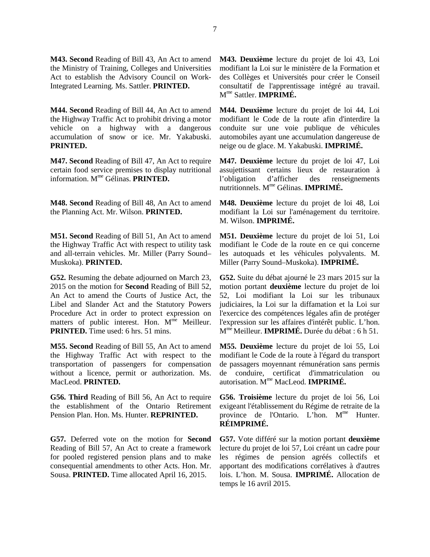**M43. Second** Reading of Bill 43, An Act to amend the Ministry of Training, Colleges and Universities Act to establish the Advisory Council on Work-Integrated Learning. Ms. Sattler. **PRINTED.**

**M44. Second** Reading of Bill 44, An Act to amend the Highway Traffic Act to prohibit driving a motor vehicle on a highway with a dangerous accumulation of snow or ice. Mr. Yakabuski. **PRINTED.**

**M47. Second** Reading of Bill 47, An Act to require certain food service premises to display nutritional information. Mme Gélinas. **PRINTED.**

**M48. Second** Reading of Bill 48, An Act to amend the Planning Act. Mr. Wilson. **PRINTED.**

**M51. Second** Reading of Bill 51, An Act to amend the Highway Traffic Act with respect to utility task and all-terrain vehicles. Mr. Miller (Parry Sound– Muskoka). **PRINTED.**

**G52.** Resuming the debate adjourned on March 23, 2015 on the motion for **Second** Reading of Bill 52, An Act to amend the Courts of Justice Act, the Libel and Slander Act and the Statutory Powers Procedure Act in order to protect expression on matters of public interest. Hon. M<sup>me</sup> Meilleur. **PRINTED.** Time used: 6 hrs. 51 mins.

**M55. Second** Reading of Bill 55, An Act to amend the Highway Traffic Act with respect to the transportation of passengers for compensation without a licence, permit or authorization. Ms. MacLeod. **PRINTED.**

**G56. Third** Reading of Bill 56, An Act to require the establishment of the Ontario Retirement Pension Plan. Hon. Ms. Hunter. **REPRINTED.**

**G57.** Deferred vote on the motion for **Second**  Reading of Bill 57, An Act to create a framework for pooled registered pension plans and to make consequential amendments to other Acts. Hon. Mr. Sousa. **PRINTED.** Time allocated April 16, 2015.

**M43. Deuxième** lecture du projet de loi 43, Loi modifiant la Loi sur le ministère de la Formation et des Collèges et Universités pour créer le Conseil consultatif de l'apprentissage intégré au travail. Mme Sattler. **IMPRIMÉ.**

**M44. Deuxième** lecture du projet de loi 44, Loi modifiant le Code de la route afin d'interdire la conduite sur une voie publique de véhicules automobiles ayant une accumulation dangereuse de neige ou de glace. M. Yakabuski. **IMPRIMÉ.**

**M47. Deuxième** lecture du projet de loi 47, Loi assujettissant certains lieux de restauration à l'obligation d'afficher des renseignements nutritionnels. Mme Gélinas. **IMPRIMÉ.**

**M48. Deuxième** lecture du projet de loi 48, Loi modifiant la Loi sur l'aménagement du territoire. M. Wilson. **IMPRIMÉ.**

**M51. Deuxième** lecture du projet de loi 51, Loi modifiant le Code de la route en ce qui concerne les autoquads et les véhicules polyvalents. M. Miller (Parry Sound–Muskoka). **IMPRIMÉ.**

**G52.** Suite du débat ajourné le 23 mars 2015 sur la motion portant **deuxième** lecture du projet de loi 52, Loi modifiant la Loi sur les tribunaux judiciaires, la Loi sur la diffamation et la Loi sur l'exercice des compétences légales afin de protéger l'expression sur les affaires d'intérêt public. L'hon. Mme Meilleur. **IMPRIMÉ.** Durée du débat : 6 h 51.

**M55. Deuxième** lecture du projet de loi 55, Loi modifiant le Code de la route à l'égard du transport de passagers moyennant rémunération sans permis de conduire, certificat d'immatriculation ou autorisation. Mme MacLeod. **IMPRIMÉ.**

**G56. Troisième** lecture du projet de loi 56, Loi exigeant l'établissement du Régime de retraite de la province de l'Ontario. L'hon. M<sup>me</sup> Hunter. **RÉIMPRIMÉ.**

**G57.** Vote différé sur la motion portant **deuxième** lecture du projet de loi 57, Loi créant un cadre pour les régimes de pension agréés collectifs et apportant des modifications corrélatives à d'autres lois. L'hon. M. Sousa. **IMPRIMÉ.** Allocation de temps le 16 avril 2015.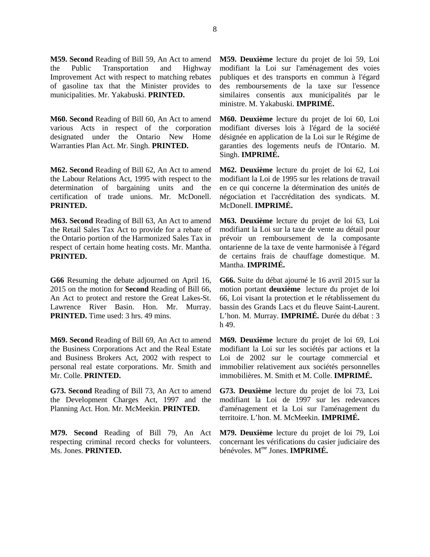**M59. Second** Reading of Bill 59, An Act to amend the Public Transportation and Highway Improvement Act with respect to matching rebates of gasoline tax that the Minister provides to municipalities. Mr. Yakabuski. **PRINTED.**

**M60. Second** Reading of Bill 60, An Act to amend various Acts in respect of the corporation designated under the Ontario New Home Warranties Plan Act. Mr. Singh. **PRINTED.**

**M62. Second** Reading of Bill 62, An Act to amend the Labour Relations Act, 1995 with respect to the determination of bargaining units and the certification of trade unions. Mr. McDonell. **PRINTED.**

**M63. Second** Reading of Bill 63, An Act to amend the Retail Sales Tax Act to provide for a rebate of the Ontario portion of the Harmonized Sales Tax in respect of certain home heating costs. Mr. Mantha. **PRINTED.**

**G66** Resuming the debate adjourned on April 16, 2015 on the motion for **Second** Reading of Bill 66, An Act to protect and restore the Great Lakes-St. Lawrence River Basin. Hon. Mr. Murray. **PRINTED.** Time used: 3 hrs. 49 mins.

**M69. Second** Reading of Bill 69, An Act to amend the Business Corporations Act and the Real Estate and Business Brokers Act, 2002 with respect to personal real estate corporations. Mr. Smith and Mr. Colle. **PRINTED.**

**G73. Second** Reading of Bill 73, An Act to amend the Development Charges Act, 1997 and the Planning Act. Hon. Mr. McMeekin. **PRINTED.**

**M79. Second** Reading of Bill 79, An Act respecting criminal record checks for volunteers. Ms. Jones. **PRINTED.**

**M59. Deuxième** lecture du projet de loi 59, Loi modifiant la Loi sur l'aménagement des voies publiques et des transports en commun à l'égard des remboursements de la taxe sur l'essence similaires consentis aux municipalités par le ministre. M. Yakabuski. **IMPRIMÉ.**

**M60. Deuxième** lecture du projet de loi 60, Loi modifiant diverses lois à l'égard de la société désignée en application de la Loi sur le Régime de garanties des logements neufs de l'Ontario. M. Singh. **IMPRIMÉ.**

**M62. Deuxième** lecture du projet de loi 62, Loi modifiant la Loi de 1995 sur les relations de travail en ce qui concerne la détermination des unités de négociation et l'accréditation des syndicats. M. McDonell. **IMPRIMÉ.**

**M63. Deuxième** lecture du projet de loi 63, Loi modifiant la Loi sur la taxe de vente au détail pour prévoir un remboursement de la composante ontarienne de la taxe de vente harmonisée à l'égard de certains frais de chauffage domestique. M. Mantha. **IMPRIMÉ.**

**G66.** Suite du débat ajourné le 16 avril 2015 sur la motion portant **deuxième** lecture du projet de loi 66, Loi visant la protection et le rétablissement du bassin des Grands Lacs et du fleuve Saint-Laurent. L'hon. M. Murray. **IMPRIMÉ.** Durée du débat : 3 h 49.

**M69. Deuxième** lecture du projet de loi 69, Loi modifiant la Loi sur les sociétés par actions et la Loi de 2002 sur le courtage commercial et immobilier relativement aux sociétés personnelles immobilières. M. Smith et M. Colle. **IMPRIMÉ.**

**G73. Deuxième** lecture du projet de loi 73, Loi modifiant la Loi de 1997 sur les redevances d'aménagement et la Loi sur l'aménagement du territoire. L'hon. M. McMeekin. **IMPRIMÉ.**

**M79. Deuxième** lecture du projet de loi 79, Loi concernant les vérifications du casier judiciaire des bénévoles. Mme Jones. **IMPRIMÉ.**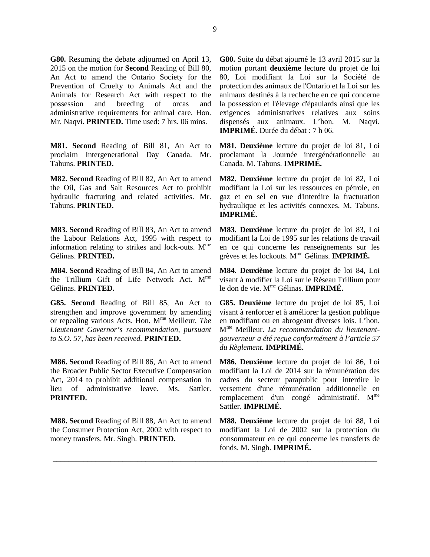**G80.** Resuming the debate adjourned on April 13, 2015 on the motion for **Second** Reading of Bill 80, An Act to amend the Ontario Society for the Prevention of Cruelty to Animals Act and the Animals for Research Act with respect to the possession and breeding of orcas and administrative requirements for animal care. Hon. Mr. Naqvi. **PRINTED.** Time used: 7 hrs. 06 mins.

**M81. Second** Reading of Bill 81, An Act to proclaim Intergenerational Day Canada. Mr. Tabuns. **PRINTED.**

**M82. Second** Reading of Bill 82, An Act to amend the Oil, Gas and Salt Resources Act to prohibit hydraulic fracturing and related activities. Mr. Tabuns. **PRINTED.**

**M83. Second** Reading of Bill 83, An Act to amend the Labour Relations Act, 1995 with respect to information relating to strikes and lock-outs.  $M<sup>me</sup>$ Gélinas. **PRINTED.**

**M84. Second** Reading of Bill 84, An Act to amend the Trillium Gift of Life Network Act. M<sup>me</sup> Gélinas. **PRINTED.**

**G85. Second** Reading of Bill 85, An Act to strengthen and improve government by amending or repealing various Acts. Hon. Mme Meilleur. *The Lieutenant Governor's recommendation, pursuant to S.O. 57, has been received.* **PRINTED.**

**M86. Second** Reading of Bill 86, An Act to amend the Broader Public Sector Executive Compensation Act, 2014 to prohibit additional compensation in lieu of administrative leave. Ms. Sattler. **PRINTED.**

**M88. Second** Reading of Bill 88, An Act to amend the Consumer Protection Act, 2002 with respect to money transfers. Mr. Singh. **PRINTED.**

**G80.** Suite du débat ajourné le 13 avril 2015 sur la motion portant **deuxième** lecture du projet de loi 80, Loi modifiant la Loi sur la Société de protection des animaux de l'Ontario et la Loi sur les animaux destinés à la recherche en ce qui concerne la possession et l'élevage d'épaulards ainsi que les exigences administratives relatives aux soins dispensés aux animaux. L'hon. M. Naqvi. **IMPRIMÉ.** Durée du débat : 7 h 06.

**M81. Deuxième** lecture du projet de loi 81, Loi proclamant la Journée intergénérationnelle au Canada. M. Tabuns. **IMPRIMÉ.**

**M82. Deuxième** lecture du projet de loi 82, Loi modifiant la Loi sur les ressources en pétrole, en gaz et en sel en vue d'interdire la fracturation hydraulique et les activités connexes. M. Tabuns. **IMPRIMÉ.**

**M83. Deuxième** lecture du projet de loi 83, Loi modifiant la Loi de 1995 sur les relations de travail en ce qui concerne les renseignements sur les grèves et les lockouts. Mme Gélinas. **IMPRIMÉ.**

**M84. Deuxième** lecture du projet de loi 84, Loi visant à modifier la Loi sur le Réseau Trillium pour le don de vie. Mme Gélinas. **IMPRIMÉ.**

**G85. Deuxième** lecture du projet de loi 85, Loi visant à renforcer et à améliorer la gestion publique en modifiant ou en abrogeant diverses lois. L'hon. Mme Meilleur. *La recommandation du lieutenantgouverneur a été reçue conformément à l'article 57 du Règlement.* **IMPRIMÉ.**

**M86. Deuxième** lecture du projet de loi 86, Loi modifiant la Loi de 2014 sur la rémunération des cadres du secteur parapublic pour interdire le versement d'une rémunération additionnelle en remplacement d'un congé administratif. M<sup>me</sup> Sattler. **IMPRIMÉ.**

**M88. Deuxième** lecture du projet de loi 88, Loi modifiant la Loi de 2002 sur la protection du consommateur en ce qui concerne les transferts de fonds. M. Singh. **IMPRIMÉ.**

\_\_\_\_\_\_\_\_\_\_\_\_\_\_\_\_\_\_\_\_\_\_\_\_\_\_\_\_\_\_\_\_\_\_\_\_\_\_\_\_\_\_\_\_\_\_\_\_\_\_\_\_\_\_\_\_\_\_\_\_\_\_\_\_\_\_\_\_\_\_\_\_\_\_\_\_\_\_\_\_\_\_\_\_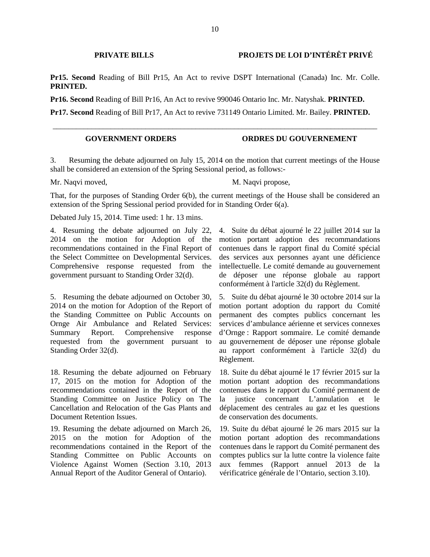# **PRIVATE BILLS PROJETS DE LOI D'INTÉRÊT PRIVÉ**

**Pr15. Second** Reading of Bill Pr15, An Act to revive DSPT International (Canada) Inc. Mr. Colle. **PRINTED.**

**Pr16. Second** Reading of Bill Pr16, An Act to revive 990046 Ontario Inc. Mr. Natyshak. **PRINTED.**

**Pr17. Second** Reading of Bill Pr17, An Act to revive 731149 Ontario Limited. Mr. Bailey. **PRINTED.**

\_\_\_\_\_\_\_\_\_\_\_\_\_\_\_\_\_\_\_\_\_\_\_\_\_\_\_\_\_\_\_\_\_\_\_\_\_\_\_\_\_\_\_\_\_\_\_\_\_\_\_\_\_\_\_\_\_\_\_\_\_\_\_\_\_\_\_\_\_\_\_\_\_\_\_\_\_\_\_\_\_\_\_\_

# **GOVERNMENT ORDERS ORDRES DU GOUVERNEMENT**

3. Resuming the debate adjourned on July 15, 2014 on the motion that current meetings of the House shall be considered an extension of the Spring Sessional period, as follows:-

Mr. Naqvi moved, M. Naqvi propose,

That, for the purposes of Standing Order 6(b), the current meetings of the House shall be considered an extension of the Spring Sessional period provided for in Standing Order 6(a).

Debated July 15, 2014. Time used: 1 hr. 13 mins.

4. Resuming the debate adjourned on July 22, 2014 on the motion for Adoption of the recommendations contained in the Final Report of the Select Committee on Developmental Services. Comprehensive response requested from the government pursuant to Standing Order 32(d).

5. Resuming the debate adjourned on October 30, 2014 on the motion for Adoption of the Report of the Standing Committee on Public Accounts on Ornge Air Ambulance and Related Services: Summary Report. Comprehensive response requested from the government pursuant to Standing Order 32(d).

18. Resuming the debate adjourned on February 17, 2015 on the motion for Adoption of the recommendations contained in the Report of the Standing Committee on Justice Policy on The Cancellation and Relocation of the Gas Plants and Document Retention Issues.

19. Resuming the debate adjourned on March 26, 2015 on the motion for Adoption of the recommendations contained in the Report of the Standing Committee on Public Accounts on Violence Against Women (Section 3.10, 2013 Annual Report of the Auditor General of Ontario).

4. Suite du débat ajourné le 22 juillet 2014 sur la motion portant adoption des recommandations contenues dans le rapport final du Comité spécial des services aux personnes ayant une déficience intellectuelle. Le comité demande au gouvernement de déposer une réponse globale au rapport conformément à l'article 32(d) du Règlement.

5. Suite du débat ajourné le 30 octobre 2014 sur la motion portant adoption du rapport du Comité permanent des comptes publics concernant les services d'ambulance aérienne et services connexes d'Ornge : Rapport sommaire. Le comité demande au gouvernement de déposer une réponse globale au rapport conformément à l'article 32(d) du Règlement.

18. Suite du débat ajourné le 17 février 2015 sur la motion portant adoption des recommandations contenues dans le rapport du Comité permanent de la justice concernant L'annulation et le déplacement des centrales au gaz et les questions de conservation des documents.

19. Suite du débat ajourné le 26 mars 2015 sur la motion portant adoption des recommandations contenues dans le rapport du Comité permanent des comptes publics sur la lutte contre la violence faite aux femmes (Rapport annuel 2013 de la vérificatrice générale de l'Ontario, section 3.10).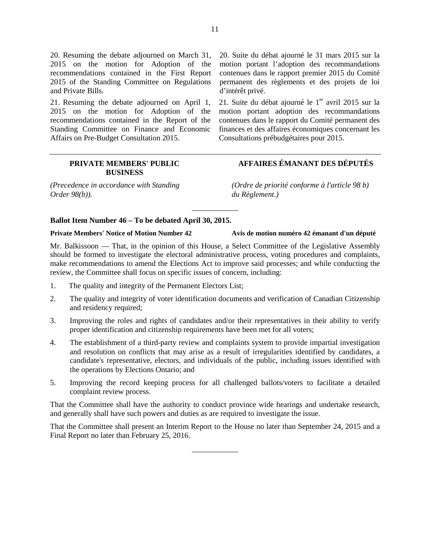20. Resuming the debate adjourned on March 31, 2015 on the motion for Adoption of the recommendations contained in the First Report 2015 of the Standing Committee on Regulations and Private Bills.

21. Resuming the debate adjourned on April 1, 2015 on the motion for Adoption of the recommendations contained in the Report of the Standing Committee on Finance and Economic Affairs on Pre-Budget Consultation 2015.

> **PRIVATE MEMBERS' PUBLIC BUSINESS**

*(Precedence in accordance with Standing Order 98(b)).*

20. Suite du débat ajourné le 31 mars 2015 sur la motion portant l'adoption des recommandations contenues dans le rapport premier 2015 du Comité permanent des règlements et des projets de loi d'intérêt privé.

21. Suite du débat ajourné le 1<sup>er</sup> avril 2015 sur la motion portant adoption des recommandations contenues dans le rapport du Comité permanent des finances et des affaires économiques concernant les Consultations prébudgétaires pour 2015.

# **AFFAIRES ÉMANANT DES DÉPUTÉS**

*(Ordre de priorité conforme à l'article 98 b) du Règlement.)*

# **Ballot Item Number 46 – To be debated April 30, 2015.**

## **Private Members' Notice of Motion Number 42 Avis de motion numéro 42 émanant d'un député**

Mr. Balkissoon — That, in the opinion of this House, a Select Committee of the Legislative Assembly should be formed to investigate the electoral administrative process, voting procedures and complaints, make recommendations to amend the Elections Act to improve said processes; and while conducting the review, the Committee shall focus on specific issues of concern, including:

\_\_\_\_\_\_\_\_\_\_\_\_

- 1. The quality and integrity of the Permanent Electors List;
- 2. The quality and integrity of voter identification documents and verification of Canadian Citizenship and residency required;
- 3. Improving the roles and rights of candidates and/or their representatives in their ability to verify proper identification and citizenship requirements have been met for all voters;
- 4. The establishment of a third-party review and complaints system to provide impartial investigation and resolution on conflicts that may arise as a result of irregularities identified by candidates, a candidate's representative, electors, and individuals of the public, including issues identified with the operations by Elections Ontario; and
- 5. Improving the record keeping process for all challenged ballots/voters to facilitate a detailed complaint review process.

That the Committee shall have the authority to conduct province wide hearings and undertake research, and generally shall have such powers and duties as are required to investigate the issue.

That the Committee shall present an Interim Report to the House no later than September 24, 2015 and a Final Report no later than February 25, 2016.

\_\_\_\_\_\_\_\_\_\_\_\_

11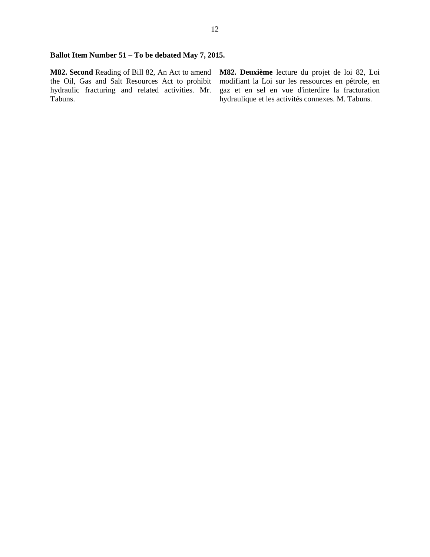# **Ballot Item Number 51 – To be debated May 7, 2015.**

**M82. Second** Reading of Bill 82, An Act to amend the Oil, Gas and Salt Resources Act to prohibit hydraulic fracturing and related activities. Mr. Tabuns.

**M82. Deuxième** lecture du projet de loi 82, Loi modifiant la Loi sur les ressources en pétrole, en gaz et en sel en vue d'interdire la fracturation hydraulique et les activités connexes. M. Tabuns.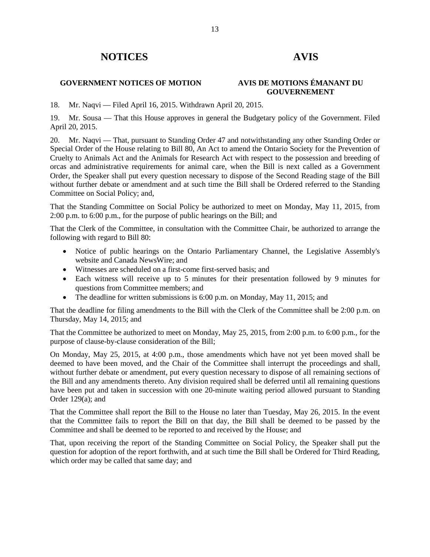# **NOTICES AVIS**

# **GOVERNMENT NOTICES OF MOTION AVIS DE MOTIONS ÉMANANT DU**

# **GOUVERNEMENT**

18. Mr. Naqvi — Filed April 16, 2015. Withdrawn April 20, 2015.

19. Mr. Sousa — That this House approves in general the Budgetary policy of the Government. Filed April 20, 2015.

20. Mr. Naqvi — That, pursuant to Standing Order 47 and notwithstanding any other Standing Order or Special Order of the House relating to Bill 80, An Act to amend the Ontario Society for the Prevention of Cruelty to Animals Act and the Animals for Research Act with respect to the possession and breeding of orcas and administrative requirements for animal care, when the Bill is next called as a Government Order, the Speaker shall put every question necessary to dispose of the Second Reading stage of the Bill without further debate or amendment and at such time the Bill shall be Ordered referred to the Standing Committee on Social Policy; and,

That the Standing Committee on Social Policy be authorized to meet on Monday, May 11, 2015, from 2:00 p.m. to 6:00 p.m., for the purpose of public hearings on the Bill; and

That the Clerk of the Committee, in consultation with the Committee Chair, be authorized to arrange the following with regard to Bill 80:

- Notice of public hearings on the Ontario Parliamentary Channel, the Legislative Assembly's website and Canada NewsWire; and
- Witnesses are scheduled on a first-come first-served basis; and
- Each witness will receive up to 5 minutes for their presentation followed by 9 minutes for questions from Committee members; and
- The deadline for written submissions is 6:00 p.m. on Monday, May 11, 2015; and

That the deadline for filing amendments to the Bill with the Clerk of the Committee shall be 2:00 p.m. on Thursday, May 14, 2015; and

That the Committee be authorized to meet on Monday, May 25, 2015, from 2:00 p.m. to 6:00 p.m., for the purpose of clause-by-clause consideration of the Bill;

On Monday, May 25, 2015, at 4:00 p.m., those amendments which have not yet been moved shall be deemed to have been moved, and the Chair of the Committee shall interrupt the proceedings and shall, without further debate or amendment, put every question necessary to dispose of all remaining sections of the Bill and any amendments thereto. Any division required shall be deferred until all remaining questions have been put and taken in succession with one 20-minute waiting period allowed pursuant to Standing Order 129(a); and

That the Committee shall report the Bill to the House no later than Tuesday, May 26, 2015. In the event that the Committee fails to report the Bill on that day, the Bill shall be deemed to be passed by the Committee and shall be deemed to be reported to and received by the House; and

That, upon receiving the report of the Standing Committee on Social Policy, the Speaker shall put the question for adoption of the report forthwith, and at such time the Bill shall be Ordered for Third Reading, which order may be called that same day; and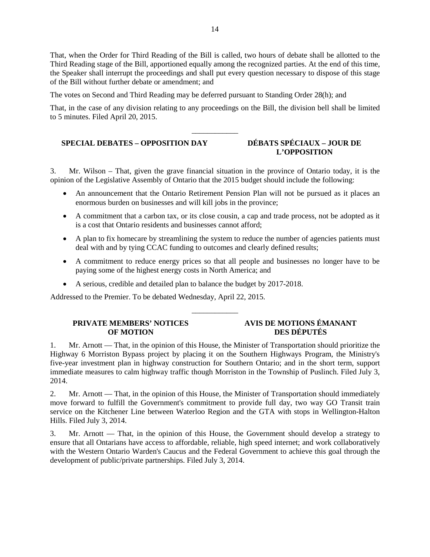That, when the Order for Third Reading of the Bill is called, two hours of debate shall be allotted to the Third Reading stage of the Bill, apportioned equally among the recognized parties. At the end of this time, the Speaker shall interrupt the proceedings and shall put every question necessary to dispose of this stage of the Bill without further debate or amendment; and

The votes on Second and Third Reading may be deferred pursuant to Standing Order 28(h); and

That, in the case of any division relating to any proceedings on the Bill, the division bell shall be limited to 5 minutes. Filed April 20, 2015.

\_\_\_\_\_\_\_\_\_\_\_\_

# **SPECIAL DEBATES – OPPOSITION DAY DÉBATS SPÉCIAUX – JOUR DE**

# **L'OPPOSITION**

3. Mr. Wilson – That, given the grave financial situation in the province of Ontario today, it is the opinion of the Legislative Assembly of Ontario that the 2015 budget should include the following:

- An announcement that the Ontario Retirement Pension Plan will not be pursued as it places an enormous burden on businesses and will kill jobs in the province;
- A commitment that a carbon tax, or its close cousin, a cap and trade process, not be adopted as it is a cost that Ontario residents and businesses cannot afford;
- A plan to fix homecare by streamlining the system to reduce the number of agencies patients must deal with and by tying CCAC funding to outcomes and clearly defined results;
- A commitment to reduce energy prices so that all people and businesses no longer have to be paying some of the highest energy costs in North America; and
- A serious, credible and detailed plan to balance the budget by 2017-2018.

Addressed to the Premier. To be debated Wednesday, April 22, 2015.

# **PRIVATE MEMBERS' NOTICES OF MOTION**

# **AVIS DE MOTIONS ÉMANANT DES DÉPUTÉS**

1. Mr. Arnott — That, in the opinion of this House, the Minister of Transportation should prioritize the Highway 6 Morriston Bypass project by placing it on the Southern Highways Program, the Ministry's five-year investment plan in highway construction for Southern Ontario; and in the short term, support immediate measures to calm highway traffic though Morriston in the Township of Puslinch. Filed July 3, 2014.

\_\_\_\_\_\_\_\_\_\_\_\_

2. Mr. Arnott — That, in the opinion of this House, the Minister of Transportation should immediately move forward to fulfill the Government's commitment to provide full day, two way GO Transit train service on the Kitchener Line between Waterloo Region and the GTA with stops in Wellington-Halton Hills. Filed July 3, 2014.

3. Mr. Arnott — That, in the opinion of this House, the Government should develop a strategy to ensure that all Ontarians have access to affordable, reliable, high speed internet; and work collaboratively with the Western Ontario Warden's Caucus and the Federal Government to achieve this goal through the development of public/private partnerships. Filed July 3, 2014.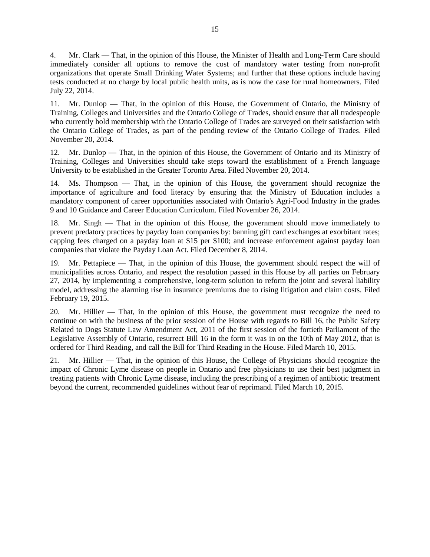4. Mr. Clark — That, in the opinion of this House, the Minister of Health and Long-Term Care should immediately consider all options to remove the cost of mandatory water testing from non-profit organizations that operate Small Drinking Water Systems; and further that these options include having tests conducted at no charge by local public health units, as is now the case for rural homeowners. Filed July 22, 2014.

11. Mr. Dunlop — That, in the opinion of this House, the Government of Ontario, the Ministry of Training, Colleges and Universities and the Ontario College of Trades, should ensure that all tradespeople who currently hold membership with the Ontario College of Trades are surveyed on their satisfaction with the Ontario College of Trades, as part of the pending review of the Ontario College of Trades. Filed November 20, 2014.

12. Mr. Dunlop — That, in the opinion of this House, the Government of Ontario and its Ministry of Training, Colleges and Universities should take steps toward the establishment of a French language University to be established in the Greater Toronto Area. Filed November 20, 2014.

14. Ms. Thompson — That, in the opinion of this House, the government should recognize the importance of agriculture and food literacy by ensuring that the Ministry of Education includes a mandatory component of career opportunities associated with Ontario's Agri-Food Industry in the grades 9 and 10 Guidance and Career Education Curriculum. Filed November 26, 2014.

18. Mr. Singh — That in the opinion of this House, the government should move immediately to prevent predatory practices by payday loan companies by: banning gift card exchanges at exorbitant rates; capping fees charged on a payday loan at \$15 per \$100; and increase enforcement against payday loan companies that violate the Payday Loan Act. Filed December 8, 2014.

19. Mr. Pettapiece — That, in the opinion of this House, the government should respect the will of municipalities across Ontario, and respect the resolution passed in this House by all parties on February 27, 2014, by implementing a comprehensive, long-term solution to reform the joint and several liability model, addressing the alarming rise in insurance premiums due to rising litigation and claim costs. Filed February 19, 2015.

20. Mr. Hillier — That, in the opinion of this House, the government must recognize the need to continue on with the business of the prior session of the House with regards to Bill 16, the Public Safety Related to Dogs Statute Law Amendment Act, 2011 of the first session of the fortieth Parliament of the Legislative Assembly of Ontario, resurrect Bill 16 in the form it was in on the 10th of May 2012, that is ordered for Third Reading, and call the Bill for Third Reading in the House. Filed March 10, 2015.

21. Mr. Hillier — That, in the opinion of this House, the College of Physicians should recognize the impact of Chronic Lyme disease on people in Ontario and free physicians to use their best judgment in treating patients with Chronic Lyme disease, including the prescribing of a regimen of antibiotic treatment beyond the current, recommended guidelines without fear of reprimand. Filed March 10, 2015.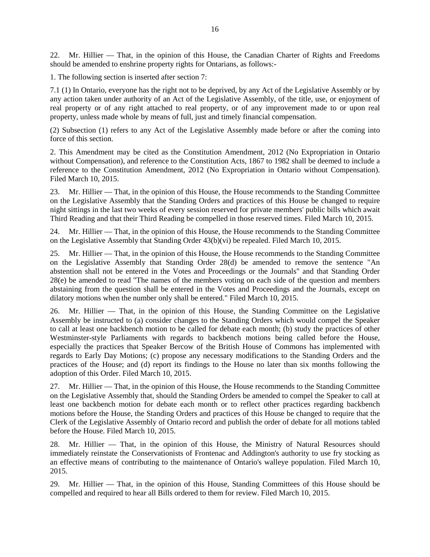22. Mr. Hillier — That, in the opinion of this House, the Canadian Charter of Rights and Freedoms should be amended to enshrine property rights for Ontarians, as follows:-

1. The following section is inserted after section 7:

7.1 (1) In Ontario, everyone has the right not to be deprived, by any Act of the Legislative Assembly or by any action taken under authority of an Act of the Legislative Assembly, of the title, use, or enjoyment of real property or of any right attached to real property, or of any improvement made to or upon real property, unless made whole by means of full, just and timely financial compensation.

(2) Subsection (1) refers to any Act of the Legislative Assembly made before or after the coming into force of this section.

2. This Amendment may be cited as the Constitution Amendment, 2012 (No Expropriation in Ontario without Compensation), and reference to the Constitution Acts, 1867 to 1982 shall be deemed to include a reference to the Constitution Amendment, 2012 (No Expropriation in Ontario without Compensation). Filed March 10, 2015.

23. Mr. Hillier — That, in the opinion of this House, the House recommends to the Standing Committee on the Legislative Assembly that the Standing Orders and practices of this House be changed to require night sittings in the last two weeks of every session reserved for private members' public bills which await Third Reading and that their Third Reading be compelled in those reserved times. Filed March 10, 2015.

24. Mr. Hillier — That, in the opinion of this House, the House recommends to the Standing Committee on the Legislative Assembly that Standing Order 43(b)(vi) be repealed. Filed March 10, 2015.

25. Mr. Hillier — That, in the opinion of this House, the House recommends to the Standing Committee on the Legislative Assembly that Standing Order 28(d) be amended to remove the sentence "An abstention shall not be entered in the Votes and Proceedings or the Journals" and that Standing Order 28(e) be amended to read "The names of the members voting on each side of the question and members abstaining from the question shall be entered in the Votes and Proceedings and the Journals, except on dilatory motions when the number only shall be entered." Filed March 10, 2015.

26. Mr. Hillier — That, in the opinion of this House, the Standing Committee on the Legislative Assembly be instructed to (a) consider changes to the Standing Orders which would compel the Speaker to call at least one backbench motion to be called for debate each month; (b) study the practices of other Westminster-style Parliaments with regards to backbench motions being called before the House, especially the practices that Speaker Bercow of the British House of Commons has implemented with regards to Early Day Motions; (c) propose any necessary modifications to the Standing Orders and the practices of the House; and (d) report its findings to the House no later than six months following the adoption of this Order. Filed March 10, 2015.

27. Mr. Hillier — That, in the opinion of this House, the House recommends to the Standing Committee on the Legislative Assembly that, should the Standing Orders be amended to compel the Speaker to call at least one backbench motion for debate each month or to reflect other practices regarding backbench motions before the House, the Standing Orders and practices of this House be changed to require that the Clerk of the Legislative Assembly of Ontario record and publish the order of debate for all motions tabled before the House. Filed March 10, 2015.

28. Mr. Hillier — That, in the opinion of this House, the Ministry of Natural Resources should immediately reinstate the Conservationists of Frontenac and Addington's authority to use fry stocking as an effective means of contributing to the maintenance of Ontario's walleye population. Filed March 10, 2015.

29. Mr. Hillier — That, in the opinion of this House, Standing Committees of this House should be compelled and required to hear all Bills ordered to them for review. Filed March 10, 2015.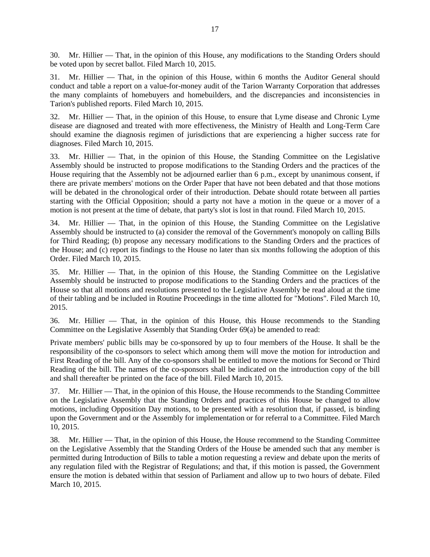30. Mr. Hillier — That, in the opinion of this House, any modifications to the Standing Orders should be voted upon by secret ballot. Filed March 10, 2015.

31. Mr. Hillier — That, in the opinion of this House, within 6 months the Auditor General should conduct and table a report on a value-for-money audit of the Tarion Warranty Corporation that addresses the many complaints of homebuyers and homebuilders, and the discrepancies and inconsistencies in Tarion's published reports. Filed March 10, 2015.

32. Mr. Hillier — That, in the opinion of this House, to ensure that Lyme disease and Chronic Lyme disease are diagnosed and treated with more effectiveness, the Ministry of Health and Long-Term Care should examine the diagnosis regimen of jurisdictions that are experiencing a higher success rate for diagnoses. Filed March 10, 2015.

33. Mr. Hillier — That, in the opinion of this House, the Standing Committee on the Legislative Assembly should be instructed to propose modifications to the Standing Orders and the practices of the House requiring that the Assembly not be adjourned earlier than 6 p.m., except by unanimous consent, if there are private members' motions on the Order Paper that have not been debated and that those motions will be debated in the chronological order of their introduction. Debate should rotate between all parties starting with the Official Opposition; should a party not have a motion in the queue or a mover of a motion is not present at the time of debate, that party's slot is lost in that round. Filed March 10, 2015.

34. Mr. Hillier — That, in the opinion of this House, the Standing Committee on the Legislative Assembly should be instructed to (a) consider the removal of the Government's monopoly on calling Bills for Third Reading; (b) propose any necessary modifications to the Standing Orders and the practices of the House; and (c) report its findings to the House no later than six months following the adoption of this Order. Filed March 10, 2015.

35. Mr. Hillier — That, in the opinion of this House, the Standing Committee on the Legislative Assembly should be instructed to propose modifications to the Standing Orders and the practices of the House so that all motions and resolutions presented to the Legislative Assembly be read aloud at the time of their tabling and be included in Routine Proceedings in the time allotted for "Motions". Filed March 10, 2015.

36. Mr. Hillier — That, in the opinion of this House, this House recommends to the Standing Committee on the Legislative Assembly that Standing Order 69(a) be amended to read:

Private members' public bills may be co-sponsored by up to four members of the House. It shall be the responsibility of the co-sponsors to select which among them will move the motion for introduction and First Reading of the bill. Any of the co-sponsors shall be entitled to move the motions for Second or Third Reading of the bill. The names of the co-sponsors shall be indicated on the introduction copy of the bill and shall thereafter be printed on the face of the bill. Filed March 10, 2015.

37. Mr. Hillier — That, in the opinion of this House, the House recommends to the Standing Committee on the Legislative Assembly that the Standing Orders and practices of this House be changed to allow motions, including Opposition Day motions, to be presented with a resolution that, if passed, is binding upon the Government and or the Assembly for implementation or for referral to a Committee. Filed March 10, 2015.

38. Mr. Hillier — That, in the opinion of this House, the House recommend to the Standing Committee on the Legislative Assembly that the Standing Orders of the House be amended such that any member is permitted during Introduction of Bills to table a motion requesting a review and debate upon the merits of any regulation filed with the Registrar of Regulations; and that, if this motion is passed, the Government ensure the motion is debated within that session of Parliament and allow up to two hours of debate. Filed March 10, 2015.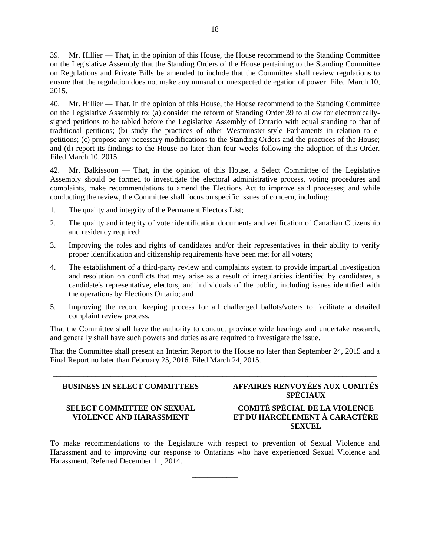39. Mr. Hillier — That, in the opinion of this House, the House recommend to the Standing Committee on the Legislative Assembly that the Standing Orders of the House pertaining to the Standing Committee on Regulations and Private Bills be amended to include that the Committee shall review regulations to ensure that the regulation does not make any unusual or unexpected delegation of power. Filed March 10, 2015.

40. Mr. Hillier — That, in the opinion of this House, the House recommend to the Standing Committee on the Legislative Assembly to: (a) consider the reform of Standing Order 39 to allow for electronicallysigned petitions to be tabled before the Legislative Assembly of Ontario with equal standing to that of traditional petitions; (b) study the practices of other Westminster-style Parliaments in relation to epetitions; (c) propose any necessary modifications to the Standing Orders and the practices of the House; and (d) report its findings to the House no later than four weeks following the adoption of this Order. Filed March 10, 2015.

42. Mr. Balkissoon — That, in the opinion of this House, a Select Committee of the Legislative Assembly should be formed to investigate the electoral administrative process, voting procedures and complaints, make recommendations to amend the Elections Act to improve said processes; and while conducting the review, the Committee shall focus on specific issues of concern, including:

- 1. The quality and integrity of the Permanent Electors List;
- 2. The quality and integrity of voter identification documents and verification of Canadian Citizenship and residency required;
- 3. Improving the roles and rights of candidates and/or their representatives in their ability to verify proper identification and citizenship requirements have been met for all voters;
- 4. The establishment of a third-party review and complaints system to provide impartial investigation and resolution on conflicts that may arise as a result of irregularities identified by candidates, a candidate's representative, electors, and individuals of the public, including issues identified with the operations by Elections Ontario; and
- 5. Improving the record keeping process for all challenged ballots/voters to facilitate a detailed complaint review process.

That the Committee shall have the authority to conduct province wide hearings and undertake research, and generally shall have such powers and duties as are required to investigate the issue.

That the Committee shall present an Interim Report to the House no later than September 24, 2015 and a Final Report no later than February 25, 2016. Filed March 24, 2015.

\_\_\_\_\_\_\_\_\_\_\_\_\_\_\_\_\_\_\_\_\_\_\_\_\_\_\_\_\_\_\_\_\_\_\_\_\_\_\_\_\_\_\_\_\_\_\_\_\_\_\_\_\_\_\_\_\_\_\_\_\_\_\_\_\_\_\_\_\_\_\_\_\_\_\_\_\_\_\_\_\_\_\_\_

# **BUSINESS IN SELECT COMMITTEES AFFAIRES RENVOYÉES AUX COMITÉS SPÉCIAUX**

# **SELECT COMMITTEE ON SEXUAL VIOLENCE AND HARASSMENT**

# **COMITÉ SPÉCIAL DE LA VIOLENCE ET DU HARCÈLEMENT À CARACTÈRE SEXUEL**

To make recommendations to the Legislature with respect to prevention of Sexual Violence and Harassment and to improving our response to Ontarians who have experienced Sexual Violence and Harassment. Referred December 11, 2014.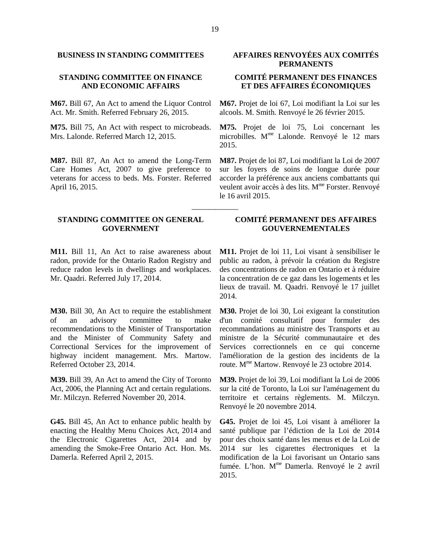# **STANDING COMMITTEE ON FINANCE AND ECONOMIC AFFAIRS**

**M67.** Bill 67, An Act to amend the Liquor Control Act. Mr. Smith. Referred February 26, 2015.

**M75.** Bill 75, An Act with respect to microbeads. Mrs. Lalonde. Referred March 12, 2015.

**M87.** Bill 87, An Act to amend the Long-Term Care Homes Act, 2007 to give preference to veterans for access to beds. Ms. Forster. Referred April 16, 2015.

# **STANDING COMMITTEE ON GENERAL GOVERNMENT**

**M11.** Bill 11, An Act to raise awareness about radon, provide for the Ontario Radon Registry and reduce radon levels in dwellings and workplaces. Mr. Qaadri. Referred July 17, 2014.

**M30.** Bill 30, An Act to require the establishment of an advisory committee to make recommendations to the Minister of Transportation and the Minister of Community Safety and Correctional Services for the improvement of highway incident management. Mrs. Martow. Referred October 23, 2014.

**M39.** Bill 39, An Act to amend the City of Toronto Act, 2006, the Planning Act and certain regulations. Mr. Milczyn. Referred November 20, 2014.

**G45.** Bill 45, An Act to enhance public health by enacting the Healthy Menu Choices Act, 2014 and the Electronic Cigarettes Act, 2014 and by amending the Smoke-Free Ontario Act. Hon. Ms. Damerla. Referred April 2, 2015.

# **BUSINESS IN STANDING COMMITTEES AFFAIRES RENVOYÉES AUX COMITÉS PERMANENTS**

# **COMITÉ PERMANENT DES FINANCES ET DES AFFAIRES ÉCONOMIQUES**

**M67.** Projet de loi 67, Loi modifiant la Loi sur les alcools. M. Smith. Renvoyé le 26 février 2015.

**M75.** Projet de loi 75, Loi concernant les microbilles. M<sup>me</sup> Lalonde. Renvoyé le 12 mars 2015.

**M87.** Projet de loi 87, Loi modifiant la Loi de 2007 sur les foyers de soins de longue durée pour accorder la préférence aux anciens combattants qui veulent avoir accès à des lits. M<sup>me</sup> Forster. Renvoyé le 16 avril 2015.

# **COMITÉ PERMANENT DES AFFAIRES GOUVERNEMENTALES**

**M11.** Projet de loi 11, Loi visant à sensibiliser le public au radon, à prévoir la création du Registre des concentrations de radon en Ontario et à réduire la concentration de ce gaz dans les logements et les lieux de travail. M. Qaadri. Renvoyé le 17 juillet 2014.

**M30.** Projet de loi 30, Loi exigeant la constitution d'un comité consultatif pour formuler des recommandations au ministre des Transports et au ministre de la Sécurité communautaire et des Services correctionnels en ce qui concerne l'amélioration de la gestion des incidents de la route. Mme Martow. Renvoyé le 23 octobre 2014.

**M39.** Projet de loi 39, Loi modifiant la Loi de 2006 sur la cité de Toronto, la Loi sur l'aménagement du territoire et certains règlements. M. Milczyn. Renvoyé le 20 novembre 2014.

**G45.** Projet de loi 45, Loi visant à améliorer la santé publique par l'édiction de la Loi de 2014 pour des choix santé dans les menus et de la Loi de 2014 sur les cigarettes électroniques et la modification de la Loi favorisant un Ontario sans fumée. L'hon. M<sup>me</sup> Damerla. Renvoyé le 2 avril 2015.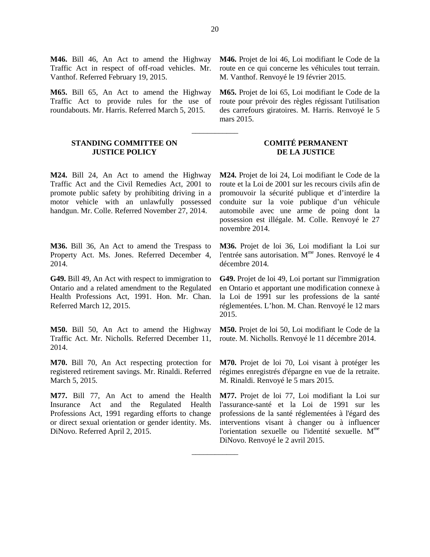**M46.** Bill 46, An Act to amend the Highway Traffic Act in respect of off-road vehicles. Mr. Vanthof. Referred February 19, 2015.

**M65.** Bill 65, An Act to amend the Highway Traffic Act to provide rules for the use of roundabouts. Mr. Harris. Referred March 5, 2015.

# **STANDING COMMITTEE ON JUSTICE POLICY**

**M24.** Bill 24, An Act to amend the Highway Traffic Act and the Civil Remedies Act, 2001 to promote public safety by prohibiting driving in a motor vehicle with an unlawfully possessed handgun. Mr. Colle. Referred November 27, 2014.

**M36.** Bill 36, An Act to amend the Trespass to Property Act. Ms. Jones. Referred December 4, 2014.

**G49.** Bill 49, An Act with respect to immigration to Ontario and a related amendment to the Regulated Health Professions Act, 1991. Hon. Mr. Chan. Referred March 12, 2015.

**M50.** Bill 50, An Act to amend the Highway Traffic Act. Mr. Nicholls. Referred December 11, 2014.

**M70.** Bill 70, An Act respecting protection for registered retirement savings. Mr. Rinaldi. Referred March 5, 2015.

**M77.** Bill 77, An Act to amend the Health Insurance Act and the Regulated Health Professions Act, 1991 regarding efforts to change or direct sexual orientation or gender identity. Ms. DiNovo. Referred April 2, 2015.

**M46.** Projet de loi 46, Loi modifiant le Code de la route en ce qui concerne les véhicules tout terrain. M. Vanthof. Renvoyé le 19 février 2015.

**M65.** Projet de loi 65, Loi modifiant le Code de la route pour prévoir des règles régissant l'utilisation des carrefours giratoires. M. Harris. Renvoyé le 5 mars 2015.

# **COMITÉ PERMANENT DE LA JUSTICE**

**M24.** Projet de loi 24, Loi modifiant le Code de la route et la Loi de 2001 sur les recours civils afin de promouvoir la sécurité publique et d'interdire la conduite sur la voie publique d'un véhicule automobile avec une arme de poing dont la possession est illégale. M. Colle. Renvoyé le 27 novembre 2014.

**M36.** Projet de loi 36, Loi modifiant la Loi sur l'entrée sans autorisation. M<sup>me</sup> Jones. Renvoyé le 4 décembre 2014.

**G49.** Projet de loi 49, Loi portant sur l'immigration en Ontario et apportant une modification connexe à la Loi de 1991 sur les professions de la santé réglementées. L'hon. M. Chan. Renvoyé le 12 mars 2015.

**M50.** Projet de loi 50, Loi modifiant le Code de la route. M. Nicholls. Renvoyé le 11 décembre 2014.

**M70.** Projet de loi 70, Loi visant à protéger les régimes enregistrés d'épargne en vue de la retraite. M. Rinaldi. Renvoyé le 5 mars 2015.

**M77.** Projet de loi 77, Loi modifiant la Loi sur l'assurance-santé et la Loi de 1991 sur les professions de la santé réglementées à l'égard des interventions visant à changer ou à influencer l'orientation sexuelle ou l'identité sexuelle. M<sup>me</sup> DiNovo. Renvoyé le 2 avril 2015.

\_\_\_\_\_\_\_\_\_\_\_\_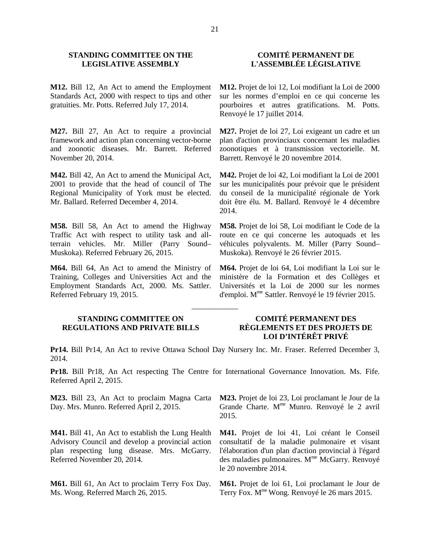# **STANDING COMMITTEE ON THE LEGISLATIVE ASSEMBLY**

**M12.** Bill 12, An Act to amend the Employment Standards Act, 2000 with respect to tips and other gratuities. Mr. Potts. Referred July 17, 2014.

**M27.** Bill 27, An Act to require a provincial framework and action plan concerning vector-borne and zoonotic diseases. Mr. Barrett. Referred November 20, 2014.

**M42.** Bill 42, An Act to amend the Municipal Act, 2001 to provide that the head of council of The Regional Municipality of York must be elected. Mr. Ballard. Referred December 4, 2014.

**M58.** Bill 58, An Act to amend the Highway Traffic Act with respect to utility task and allterrain vehicles. Mr. Miller (Parry Sound– Muskoka). Referred February 26, 2015.

**M64.** Bill 64, An Act to amend the Ministry of Training, Colleges and Universities Act and the Employment Standards Act, 2000. Ms. Sattler. Referred February 19, 2015.

# **COMITÉ PERMANENT DE L'ASSEMBLÉE LÉGISLATIVE**

**M12.** Projet de loi 12, Loi modifiant la Loi de 2000 sur les normes d'emploi en ce qui concerne les pourboires et autres gratifications. M. Potts. Renvoyé le 17 juillet 2014.

**M27.** Projet de loi 27, Loi exigeant un cadre et un plan d'action provinciaux concernant les maladies zoonotiques et à transmission vectorielle. M. Barrett. Renvoyé le 20 novembre 2014.

**M42.** Projet de loi 42, Loi modifiant la Loi de 2001 sur les municipalités pour prévoir que le président du conseil de la municipalité régionale de York doit être élu. M. Ballard. Renvoyé le 4 décembre 2014.

**M58.** Projet de loi 58, Loi modifiant le Code de la route en ce qui concerne les autoquads et les véhicules polyvalents. M. Miller (Parry Sound– Muskoka). Renvoyé le 26 février 2015.

**M64.** Projet de loi 64, Loi modifiant la Loi sur le ministère de la Formation et des Collèges et Universités et la Loi de 2000 sur les normes d'emploi. Mme Sattler. Renvoyé le 19 février 2015.

# **STANDING COMMITTEE ON REGULATIONS AND PRIVATE BILLS**

# **COMITÉ PERMANENT DES RÈGLEMENTS ET DES PROJETS DE LOI D'INTÉRÊT PRIVÉ**

**Pr14.** Bill Pr14, An Act to revive Ottawa School Day Nursery Inc. Mr. Fraser. Referred December 3, 2014.

\_\_\_\_\_\_\_\_\_\_\_\_

**Pr18.** Bill Pr18, An Act respecting The Centre for International Governance Innovation. Ms. Fife. Referred April 2, 2015.

**M23.** Bill 23, An Act to proclaim Magna Carta Day. Mrs. Munro. Referred April 2, 2015.

**M41.** Bill 41, An Act to establish the Lung Health Advisory Council and develop a provincial action plan respecting lung disease. Mrs. McGarry. Referred November 20, 2014.

**M61.** Bill 61, An Act to proclaim Terry Fox Day. Ms. Wong. Referred March 26, 2015.

**M23.** Projet de loi 23, Loi proclamant le Jour de la Grande Charte. M<sup>me</sup> Munro. Renvoyé le 2 avril 2015.

**M41.** Projet de loi 41, Loi créant le Conseil consultatif de la maladie pulmonaire et visant l'élaboration d'un plan d'action provincial à l'égard des maladies pulmonaires. M<sup>me</sup> McGarry. Renvoyé le 20 novembre 2014.

**M61.** Projet de loi 61, Loi proclamant le Jour de Terry Fox. M<sup>me</sup> Wong. Renvoyé le 26 mars 2015.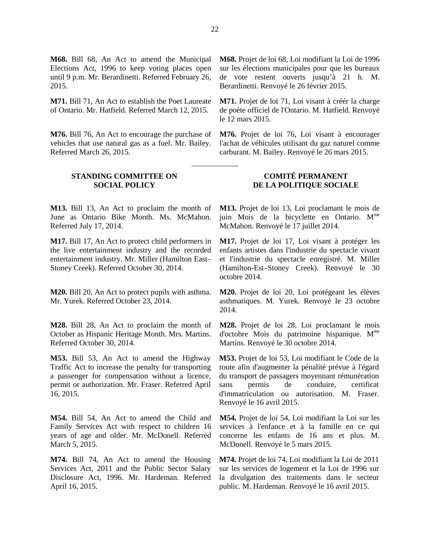**M68.** Bill 68, An Act to amend the Municipal Elections Act, 1996 to keep voting places open until 9 p.m. Mr. Berardinetti. Referred February 26, 2015.

**M71.** Bill 71, An Act to establish the Poet Laureate of Ontario. Mr. Hatfield. Referred March 12, 2015.

**M76.** Bill 76, An Act to encourage the purchase of vehicles that use natural gas as a fuel. Mr. Bailey. Referred March 26, 2015.

# **STANDING COMMITTEE ON SOCIAL POLICY**

**M13.** Bill 13, An Act to proclaim the month of June as Ontario Bike Month. Ms. McMahon. Referred July 17, 2014.

**M17.** Bill 17, An Act to protect child performers in the live entertainment industry and the recorded entertainment industry. Mr. Miller (Hamilton East– Stoney Creek). Referred October 30, 2014.

**M20.** Bill 20, An Act to protect pupils with asthma. Mr. Yurek. Referred October 23, 2014.

**M28.** Bill 28, An Act to proclaim the month of October as Hispanic Heritage Month. Mrs. Martins. Referred October 30, 2014.

**M53.** Bill 53, An Act to amend the Highway Traffic Act to increase the penalty for transporting a passenger for compensation without a licence, permit or authorization. Mr. Fraser. Referred April 16, 2015.

**M54.** Bill 54, An Act to amend the Child and Family Services Act with respect to children 16 years of age and older. Mr. McDonell. Referred March 5, 2015.

**M74.** Bill 74, An Act to amend the Housing Services Act, 2011 and the Public Sector Salary Disclosure Act, 1996. Mr. Hardeman. Referred April 16, 2015.

**M68.** Projet de loi 68, Loi modifiant la Loi de 1996 sur les élections municipales pour que les bureaux de vote restent ouverts jusqu'à 21 h. M. Berardinetti. Renvoyé le 26 février 2015.

**M71.** Projet de loi 71, Loi visant à créér la charge de poète officiel de l'Ontario. M. Hatfield. Renvoyé le 12 mars 2015.

**M76.** Projet de loi 76, Loi visant à encourager l'achat de véhicules utilisant du gaz naturel comme carburant. M. Bailey. Renvoyé le 26 mars 2015.

# **COMITÉ PERMANENT DE LA POLITIQUE SOCIALE**

**M13.** Projet de loi 13, Loi proclamant le mois de juin Mois de la bicyclette en Ontario. M<sup>me</sup> McMahon. Renvoyé le 17 juillet 2014.

**M17.** Projet de loi 17, Loi visant à protéger les enfants artistes dans l'industrie du spectacle vivant et l'industrie du spectacle enregistré. M. Miller (Hamilton-Est–Stoney Creek). Renvoyé le 30 octobre 2014.

**M20.** Projet de loi 20, Loi protégeant les élèves asthmatiques. M. Yurek. Renvoyé le 23 octobre 2014.

**M28.** Projet de loi 28, Loi proclamant le mois d'octobre Mois du patrimoine hispanique.  $M<sup>me</sup>$ Martins. Renvoyé le 30 octobre 2014.

**M53.** Projet de loi 53, Loi modifiant le Code de la route afin d'augmenter la pénalité prévue à l'égard du transport de passagers moyennant rémunération sans permis de conduire, certificat d'immatriculation ou autorisation. M. Fraser. Renvoyé le 16 avril 2015.

**M54.** Projet de loi 54, Loi modifiant la Loi sur les services à l'enfance et à la famille en ce qui concerne les enfants de 16 ans et plus. M. McDonell. Renvoyé le 5 mars 2015.

**M74.** Projet de loi 74, Loi modifiant la Loi de 2011 sur les services de logement et la Loi de 1996 sur la divulgation des traitements dans le secteur public. M. Hardeman. Renvoyé le 16 avril 2015.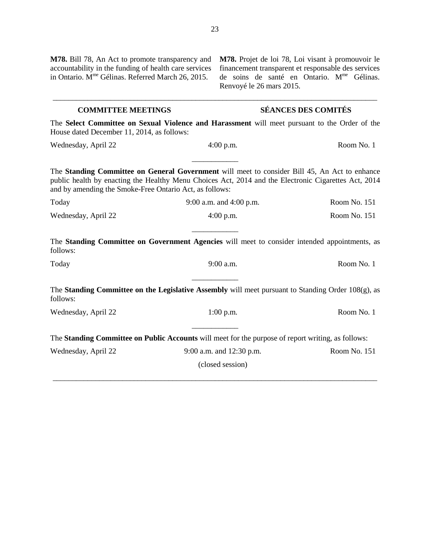| M78. Bill 78, An Act to promote transparency and<br>accountability in the funding of health care services<br>in Ontario. M <sup>me</sup> Gélinas. Referred March 26, 2015. | Renvoyé le 26 mars 2015.                                                                                                                                                                              | M78. Projet de loi 78, Loi visant à promouvoir le<br>financement transparent et responsable des services<br>de soins de santé en Ontario. M <sup>me</sup> Gélinas. |
|----------------------------------------------------------------------------------------------------------------------------------------------------------------------------|-------------------------------------------------------------------------------------------------------------------------------------------------------------------------------------------------------|--------------------------------------------------------------------------------------------------------------------------------------------------------------------|
| <b>COMMITTEE MEETINGS</b>                                                                                                                                                  |                                                                                                                                                                                                       | <b>SÉANCES DES COMITÉS</b>                                                                                                                                         |
| House dated December 11, 2014, as follows:                                                                                                                                 | The Select Committee on Sexual Violence and Harassment will meet pursuant to the Order of the                                                                                                         |                                                                                                                                                                    |
| Wednesday, April 22                                                                                                                                                        | $4:00$ p.m.                                                                                                                                                                                           | Room No. 1                                                                                                                                                         |
| and by amending the Smoke-Free Ontario Act, as follows:                                                                                                                    | The Standing Committee on General Government will meet to consider Bill 45, An Act to enhance<br>public health by enacting the Healthy Menu Choices Act, 2014 and the Electronic Cigarettes Act, 2014 |                                                                                                                                                                    |
| Today                                                                                                                                                                      | 9:00 a.m. and 4:00 p.m.                                                                                                                                                                               | Room No. 151                                                                                                                                                       |
| Wednesday, April 22                                                                                                                                                        | $4:00$ p.m.                                                                                                                                                                                           | Room No. 151                                                                                                                                                       |
| follows:                                                                                                                                                                   | The Standing Committee on Government Agencies will meet to consider intended appointments, as                                                                                                         |                                                                                                                                                                    |
| Today                                                                                                                                                                      | 9:00 a.m.                                                                                                                                                                                             | Room No. 1                                                                                                                                                         |
| follows:                                                                                                                                                                   | The Standing Committee on the Legislative Assembly will meet pursuant to Standing Order 108(g), as                                                                                                    |                                                                                                                                                                    |
| Wednesday, April 22                                                                                                                                                        | $1:00$ p.m.                                                                                                                                                                                           | Room No. 1                                                                                                                                                         |
|                                                                                                                                                                            | The Standing Committee on Public Accounts will meet for the purpose of report writing, as follows:                                                                                                    |                                                                                                                                                                    |
| Wednesday, April 22                                                                                                                                                        | 9:00 a.m. and 12:30 p.m.                                                                                                                                                                              | Room No. 151                                                                                                                                                       |
|                                                                                                                                                                            | (closed session)                                                                                                                                                                                      |                                                                                                                                                                    |
|                                                                                                                                                                            |                                                                                                                                                                                                       |                                                                                                                                                                    |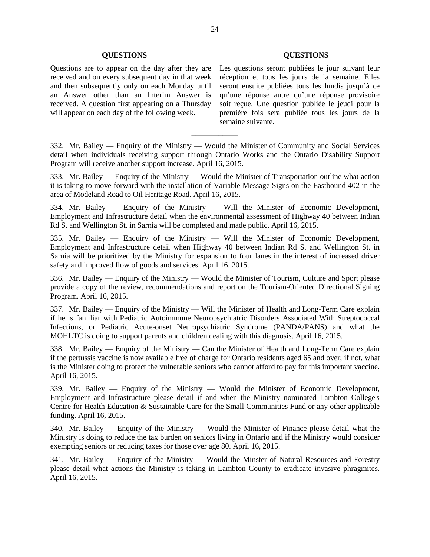## **QUESTIONS QUESTIONS**

Questions are to appear on the day after they are received and on every subsequent day in that week and then subsequently only on each Monday until an Answer other than an Interim Answer is received. A question first appearing on a Thursday will appear on each day of the following week.

Les questions seront publiées le jour suivant leur réception et tous les jours de la semaine. Elles seront ensuite publiées tous les lundis jusqu'à ce qu'une réponse autre qu'une réponse provisoire soit reçue. Une question publiée le jeudi pour la première fois sera publiée tous les jours de la semaine suivante.

332. Mr. Bailey — Enquiry of the Ministry — Would the Minister of Community and Social Services detail when individuals receiving support through Ontario Works and the Ontario Disability Support Program will receive another support increase. April 16, 2015.

\_\_\_\_\_\_\_\_\_\_\_\_

333. Mr. Bailey — Enquiry of the Ministry — Would the Minister of Transportation outline what action it is taking to move forward with the installation of Variable Message Signs on the Eastbound 402 in the area of Modeland Road to Oil Heritage Road. April 16, 2015.

334. Mr. Bailey — Enquiry of the Ministry — Will the Minister of Economic Development, Employment and Infrastructure detail when the environmental assessment of Highway 40 between Indian Rd S. and Wellington St. in Sarnia will be completed and made public. April 16, 2015.

335. Mr. Bailey — Enquiry of the Ministry — Will the Minister of Economic Development, Employment and Infrastructure detail when Highway 40 between Indian Rd S. and Wellington St. in Sarnia will be prioritized by the Ministry for expansion to four lanes in the interest of increased driver safety and improved flow of goods and services. April 16, 2015.

336. Mr. Bailey — Enquiry of the Ministry — Would the Minister of Tourism, Culture and Sport please provide a copy of the review, recommendations and report on the Tourism-Oriented Directional Signing Program. April 16, 2015.

337. Mr. Bailey — Enquiry of the Ministry — Will the Minister of Health and Long-Term Care explain if he is familiar with Pediatric Autoimmune Neuropsychiatric Disorders Associated With Streptococcal Infections, or Pediatric Acute-onset Neuropsychiatric Syndrome (PANDA/PANS) and what the MOHLTC is doing to support parents and children dealing with this diagnosis. April 16, 2015.

338. Mr. Bailey — Enquiry of the Ministry — Can the Minister of Health and Long-Term Care explain if the pertussis vaccine is now available free of charge for Ontario residents aged 65 and over; if not, what is the Minister doing to protect the vulnerable seniors who cannot afford to pay for this important vaccine. April 16, 2015.

339. Mr. Bailey — Enquiry of the Ministry — Would the Minister of Economic Development, Employment and Infrastructure please detail if and when the Ministry nominated Lambton College's Centre for Health Education & Sustainable Care for the Small Communities Fund or any other applicable funding. April 16, 2015.

340. Mr. Bailey — Enquiry of the Ministry — Would the Minister of Finance please detail what the Ministry is doing to reduce the tax burden on seniors living in Ontario and if the Ministry would consider exempting seniors or reducing taxes for those over age 80. April 16, 2015.

341. Mr. Bailey — Enquiry of the Ministry — Would the Minster of Natural Resources and Forestry please detail what actions the Ministry is taking in Lambton County to eradicate invasive phragmites. April 16, 2015.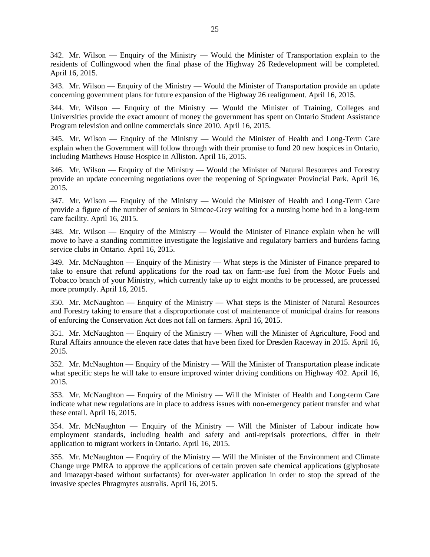342. Mr. Wilson — Enquiry of the Ministry — Would the Minister of Transportation explain to the residents of Collingwood when the final phase of the Highway 26 Redevelopment will be completed. April 16, 2015.

343. Mr. Wilson — Enquiry of the Ministry — Would the Minister of Transportation provide an update concerning government plans for future expansion of the Highway 26 realignment. April 16, 2015.

344. Mr. Wilson — Enquiry of the Ministry — Would the Minister of Training, Colleges and Universities provide the exact amount of money the government has spent on Ontario Student Assistance Program television and online commercials since 2010. April 16, 2015.

345. Mr. Wilson — Enquiry of the Ministry — Would the Minister of Health and Long-Term Care explain when the Government will follow through with their promise to fund 20 new hospices in Ontario, including Matthews House Hospice in Alliston. April 16, 2015.

346. Mr. Wilson — Enquiry of the Ministry — Would the Minister of Natural Resources and Forestry provide an update concerning negotiations over the reopening of Springwater Provincial Park. April 16, 2015.

347. Mr. Wilson — Enquiry of the Ministry — Would the Minister of Health and Long-Term Care provide a figure of the number of seniors in Simcoe-Grey waiting for a nursing home bed in a long-term care facility. April 16, 2015.

348. Mr. Wilson — Enquiry of the Ministry — Would the Minister of Finance explain when he will move to have a standing committee investigate the legislative and regulatory barriers and burdens facing service clubs in Ontario. April 16, 2015.

349. Mr. McNaughton — Enquiry of the Ministry — What steps is the Minister of Finance prepared to take to ensure that refund applications for the road tax on farm-use fuel from the Motor Fuels and Tobacco branch of your Ministry, which currently take up to eight months to be processed, are processed more promptly. April 16, 2015.

350. Mr. McNaughton — Enquiry of the Ministry — What steps is the Minister of Natural Resources and Forestry taking to ensure that a disproportionate cost of maintenance of municipal drains for reasons of enforcing the Conservation Act does not fall on farmers. April 16, 2015.

351. Mr. McNaughton — Enquiry of the Ministry — When will the Minister of Agriculture, Food and Rural Affairs announce the eleven race dates that have been fixed for Dresden Raceway in 2015. April 16, 2015.

352. Mr. McNaughton — Enquiry of the Ministry — Will the Minister of Transportation please indicate what specific steps he will take to ensure improved winter driving conditions on Highway 402. April 16, 2015.

353. Mr. McNaughton — Enquiry of the Ministry — Will the Minister of Health and Long-term Care indicate what new regulations are in place to address issues with non-emergency patient transfer and what these entail. April 16, 2015.

354. Mr. McNaughton — Enquiry of the Ministry — Will the Minister of Labour indicate how employment standards, including health and safety and anti-reprisals protections, differ in their application to migrant workers in Ontario. April 16, 2015.

355. Mr. McNaughton — Enquiry of the Ministry — Will the Minister of the Environment and Climate Change urge PMRA to approve the applications of certain proven safe chemical applications (glyphosate and imazapyr-based without surfactants) for over-water application in order to stop the spread of the invasive species Phragmytes australis. April 16, 2015.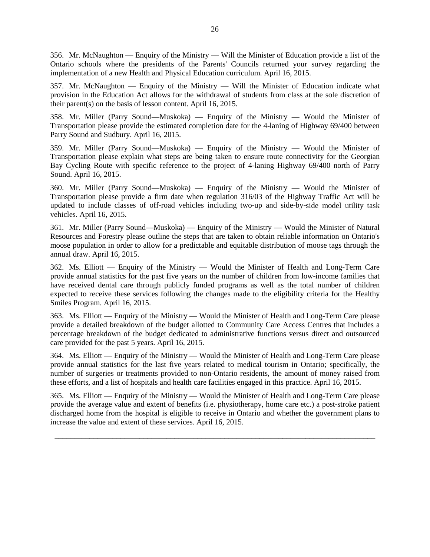356. Mr. McNaughton — Enquiry of the Ministry — Will the Minister of Education provide a list of the Ontario schools where the presidents of the Parents' Councils returned your survey regarding the implementation of a new Health and Physical Education curriculum. April 16, 2015.

357. Mr. McNaughton — Enquiry of the Ministry — Will the Minister of Education indicate what provision in the Education Act allows for the withdrawal of students from class at the sole discretion of their parent(s) on the basis of lesson content. April 16, 2015.

358. Mr. Miller (Parry Sound—Muskoka) — Enquiry of the Ministry — Would the Minister of Transportation please provide the estimated completion date for the 4-laning of Highway 69/400 between Parry Sound and Sudbury. April 16, 2015.

359. Mr. Miller (Parry Sound—Muskoka) — Enquiry of the Ministry — Would the Minister of Transportation please explain what steps are being taken to ensure route connectivity for the Georgian Bay Cycling Route with specific reference to the project of 4-laning Highway 69/400 north of Parry Sound. April 16, 2015.

360. Mr. Miller (Parry Sound—Muskoka) — Enquiry of the Ministry — Would the Minister of Transportation please provide a firm date when regulation 316/03 of the Highway Traffic Act will be updated to include classes of off-road vehicles including two-up and side-by-side model utility task vehicles. April 16, 2015.

361. Mr. Miller (Parry Sound—Muskoka) — Enquiry of the Ministry — Would the Minister of Natural Resources and Forestry please outline the steps that are taken to obtain reliable information on Ontario's moose population in order to allow for a predictable and equitable distribution of moose tags through the annual draw. April 16, 2015.

362. Ms. Elliott — Enquiry of the Ministry — Would the Minister of Health and Long-Term Care provide annual statistics for the past five years on the number of children from low-income families that have received dental care through publicly funded programs as well as the total number of children expected to receive these services following the changes made to the eligibility criteria for the Healthy Smiles Program. April 16, 2015.

363. Ms. Elliott — Enquiry of the Ministry — Would the Minister of Health and Long-Term Care please provide a detailed breakdown of the budget allotted to Community Care Access Centres that includes a percentage breakdown of the budget dedicated to administrative functions versus direct and outsourced care provided for the past 5 years. April 16, 2015.

364. Ms. Elliott — Enquiry of the Ministry — Would the Minister of Health and Long-Term Care please provide annual statistics for the last five years related to medical tourism in Ontario; specifically, the number of surgeries or treatments provided to non-Ontario residents, the amount of money raised from these efforts, and a list of hospitals and health care facilities engaged in this practice. April 16, 2015.

365. Ms. Elliott — Enquiry of the Ministry — Would the Minister of Health and Long-Term Care please provide the average value and extent of benefits (i.e. physiotherapy, home care etc.) a post-stroke patient discharged home from the hospital is eligible to receive in Ontario and whether the government plans to increase the value and extent of these services. April 16, 2015.

\_\_\_\_\_\_\_\_\_\_\_\_\_\_\_\_\_\_\_\_\_\_\_\_\_\_\_\_\_\_\_\_\_\_\_\_\_\_\_\_\_\_\_\_\_\_\_\_\_\_\_\_\_\_\_\_\_\_\_\_\_\_\_\_\_\_\_\_\_\_\_\_\_\_\_\_\_\_\_\_\_\_\_